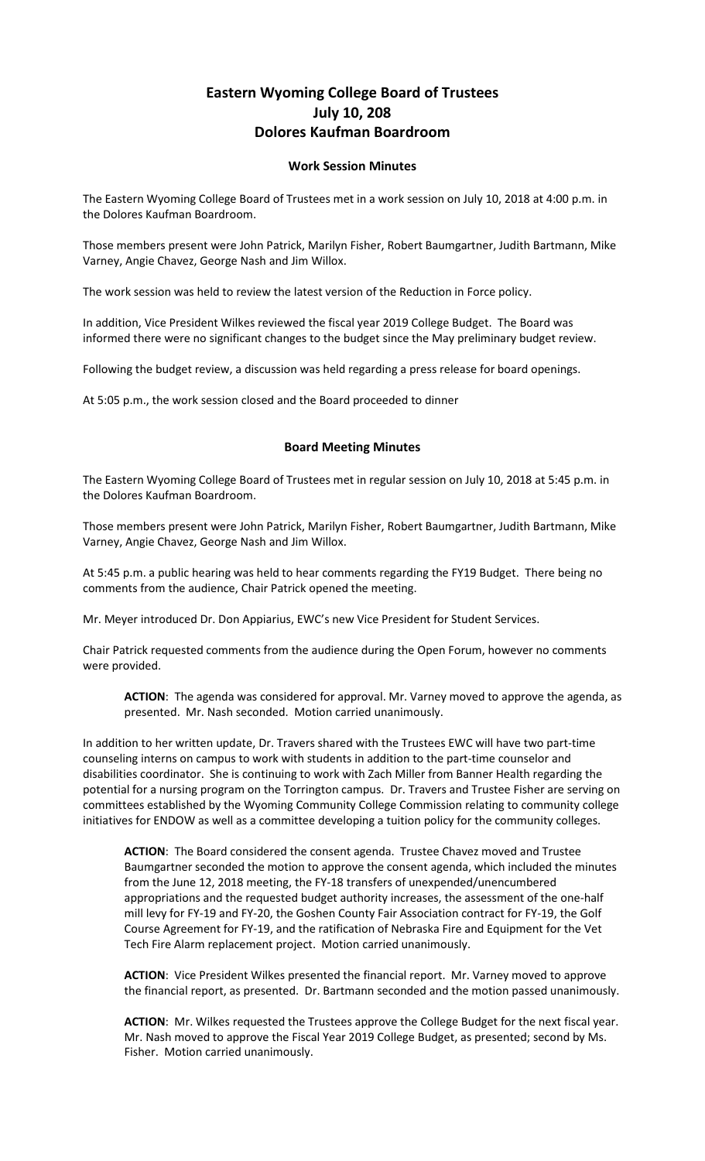## **Eastern Wyoming College Board of Trustees July 10, 208 Dolores Kaufman Boardroom**

## **Work Session Minutes**

The Eastern Wyoming College Board of Trustees met in a work session on July 10, 2018 at 4:00 p.m. in the Dolores Kaufman Boardroom.

Those members present were John Patrick, Marilyn Fisher, Robert Baumgartner, Judith Bartmann, Mike Varney, Angie Chavez, George Nash and Jim Willox.

The work session was held to review the latest version of the Reduction in Force policy.

In addition, Vice President Wilkes reviewed the fiscal year 2019 College Budget. The Board was informed there were no significant changes to the budget since the May preliminary budget review.

Following the budget review, a discussion was held regarding a press release for board openings.

At 5:05 p.m., the work session closed and the Board proceeded to dinner

## **Board Meeting Minutes**

The Eastern Wyoming College Board of Trustees met in regular session on July 10, 2018 at 5:45 p.m. in the Dolores Kaufman Boardroom.

Those members present were John Patrick, Marilyn Fisher, Robert Baumgartner, Judith Bartmann, Mike Varney, Angie Chavez, George Nash and Jim Willox.

At 5:45 p.m. a public hearing was held to hear comments regarding the FY19 Budget. There being no comments from the audience, Chair Patrick opened the meeting.

Mr. Meyer introduced Dr. Don Appiarius, EWC's new Vice President for Student Services.

Chair Patrick requested comments from the audience during the Open Forum, however no comments were provided.

**ACTION**: The agenda was considered for approval. Mr. Varney moved to approve the agenda, as presented. Mr. Nash seconded. Motion carried unanimously.

In addition to her written update, Dr. Travers shared with the Trustees EWC will have two part-time counseling interns on campus to work with students in addition to the part-time counselor and disabilities coordinator. She is continuing to work with Zach Miller from Banner Health regarding the potential for a nursing program on the Torrington campus. Dr. Travers and Trustee Fisher are serving on committees established by the Wyoming Community College Commission relating to community college initiatives for ENDOW as well as a committee developing a tuition policy for the community colleges.

**ACTION**: The Board considered the consent agenda. Trustee Chavez moved and Trustee Baumgartner seconded the motion to approve the consent agenda, which included the minutes from the June 12, 2018 meeting, the FY-18 transfers of unexpended/unencumbered appropriations and the requested budget authority increases, the assessment of the one-half mill levy for FY-19 and FY-20, the Goshen County Fair Association contract for FY-19, the Golf Course Agreement for FY-19, and the ratification of Nebraska Fire and Equipment for the Vet Tech Fire Alarm replacement project. Motion carried unanimously.

**ACTION**: Vice President Wilkes presented the financial report. Mr. Varney moved to approve the financial report, as presented. Dr. Bartmann seconded and the motion passed unanimously.

**ACTION**: Mr. Wilkes requested the Trustees approve the College Budget for the next fiscal year. Mr. Nash moved to approve the Fiscal Year 2019 College Budget, as presented; second by Ms. Fisher. Motion carried unanimously.